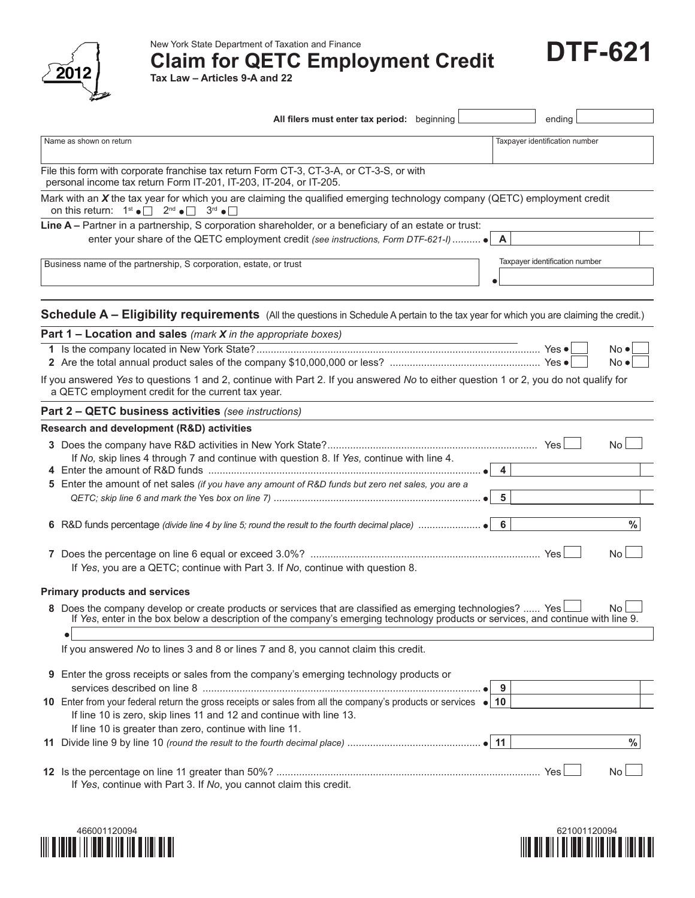

New York State Department of Taxation and Finance

**Claim for QETC Employment Credit**

**Tax Law – Articles 9-A and 22**

| All filers must enter tax period: beginning                                                                                                                                                                                                       | ending                         |
|---------------------------------------------------------------------------------------------------------------------------------------------------------------------------------------------------------------------------------------------------|--------------------------------|
| Name as shown on return                                                                                                                                                                                                                           | Taxpayer identification number |
| File this form with corporate franchise tax return Form CT-3, CT-3-A, or CT-3-S, or with<br>personal income tax return Form IT-201, IT-203, IT-204, or IT-205.                                                                                    |                                |
| Mark with an $X$ the tax year for which you are claiming the qualified emerging technology company (QETC) employment credit<br>on this return: $1^{st} \cdot \Box 2^{nd} \cdot \Box 3^{rd} \cdot \Box$                                            |                                |
| Line A - Partner in a partnership, S corporation shareholder, or a beneficiary of an estate or trust:<br>enter your share of the QETC employment credit (see instructions, Form DTF-621-I)  ●                                                     | A                              |
| Business name of the partnership, S corporation, estate, or trust                                                                                                                                                                                 | Taxpayer identification number |
| Schedule A - Eligibility requirements (All the questions in Schedule A pertain to the tax year for which you are claiming the credit.)                                                                                                            |                                |
| Part $1$ – Location and sales (mark X in the appropriate boxes)<br>the control of the control of the control of the control of the control of                                                                                                     |                                |
|                                                                                                                                                                                                                                                   | No ●<br>No ●                   |
| If you answered Yes to questions 1 and 2, continue with Part 2. If you answered No to either question 1 or 2, you do not qualify for<br>a QETC employment credit for the current tax year.                                                        |                                |
| Part 2 - QETC business activities (see instructions)                                                                                                                                                                                              |                                |
| <b>Research and development (R&amp;D) activities</b>                                                                                                                                                                                              |                                |
| If No, skip lines 4 through 7 and continue with question 8. If Yes, continue with line 4.                                                                                                                                                         | No.                            |
| 5 Enter the amount of net sales (if you have any amount of R&D funds but zero net sales, you are a                                                                                                                                                |                                |
|                                                                                                                                                                                                                                                   | 5                              |
|                                                                                                                                                                                                                                                   | $\%$                           |
| If Yes, you are a QETC; continue with Part 3. If No, continue with question 8.                                                                                                                                                                    | No.                            |
| <b>Primary products and services</b>                                                                                                                                                                                                              |                                |
| 8 Does the company develop or create products or services that are classified as emerging technologies?  Yes<br>If Yes, enter in the box below a description of the company's emerging technology products or services, and continue with line 9. | $\mathsf{No}\,\Box$            |
| If you answered No to lines 3 and 8 or lines 7 and 8, you cannot claim this credit.                                                                                                                                                               |                                |
| 9 Enter the gross receipts or sales from the company's emerging technology products or                                                                                                                                                            |                                |
| 10 Enter from your federal return the gross receipts or sales from all the company's products or services $\bullet$ 10<br>If line 10 is zero, skip lines 11 and 12 and continue with line 13.                                                     |                                |
| If line 10 is greater than zero, continue with line 11.                                                                                                                                                                                           |                                |
|                                                                                                                                                                                                                                                   | $\frac{0}{0}$                  |
| If Yes, continue with Part 3. If No, you cannot claim this credit.                                                                                                                                                                                | <b>No</b>                      |





**DTF-621**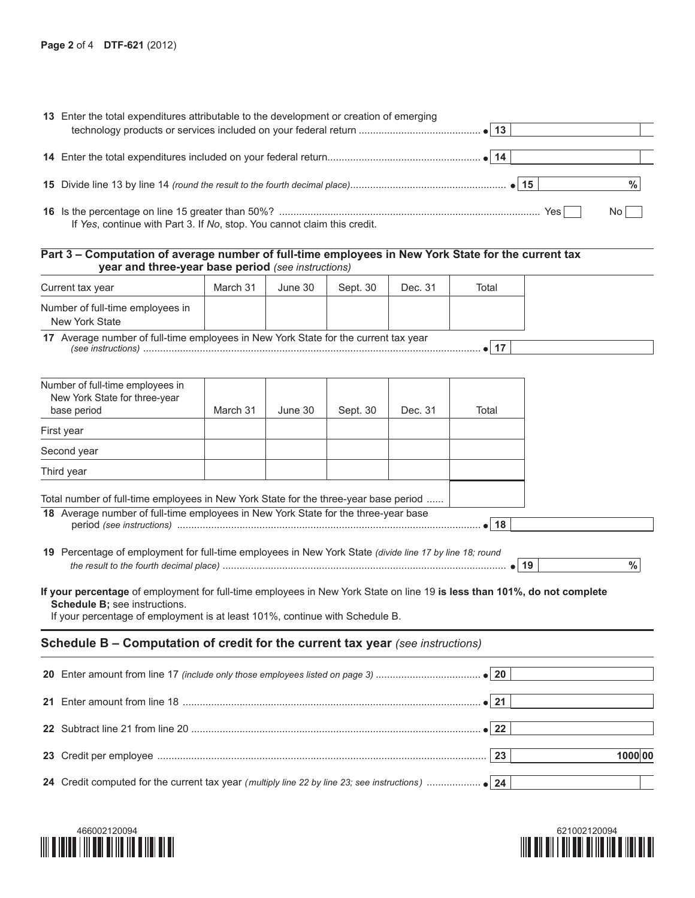| 13 Enter the total expenditures attributable to the development or creation of emerging |  |      |      |  |
|-----------------------------------------------------------------------------------------|--|------|------|--|
|                                                                                         |  |      |      |  |
|                                                                                         |  |      |      |  |
|                                                                                         |  |      |      |  |
|                                                                                         |  |      |      |  |
|                                                                                         |  |      | %    |  |
|                                                                                         |  |      |      |  |
|                                                                                         |  | Yesl | No L |  |
| If Yes, continue with Part 3. If No, stop. You cannot claim this credit.                |  |      |      |  |
|                                                                                         |  |      |      |  |

## **Part 3 – Computation of average number of full-time employees in New York State for the current tax year and three-year base period** *(see instructions)*

| Current tax year                                                                                                                                                                                                                                                                                                                                                                               | March 31 | June 30 | Sept. 30 | Dec. 31 | Total        |         |  |
|------------------------------------------------------------------------------------------------------------------------------------------------------------------------------------------------------------------------------------------------------------------------------------------------------------------------------------------------------------------------------------------------|----------|---------|----------|---------|--------------|---------|--|
| Number of full-time employees in<br>New York State                                                                                                                                                                                                                                                                                                                                             |          |         |          |         |              |         |  |
| 17 Average number of full-time employees in New York State for the current tax year                                                                                                                                                                                                                                                                                                            |          |         |          |         | 17           |         |  |
| Number of full-time employees in<br>New York State for three-year<br>base period                                                                                                                                                                                                                                                                                                               | March 31 | June 30 | Sept. 30 | Dec. 31 | Total        |         |  |
| First year                                                                                                                                                                                                                                                                                                                                                                                     |          |         |          |         |              |         |  |
| Second year                                                                                                                                                                                                                                                                                                                                                                                    |          |         |          |         |              |         |  |
| Third year                                                                                                                                                                                                                                                                                                                                                                                     |          |         |          |         |              |         |  |
| 18<br>19 Percentage of employment for full-time employees in New York State (divide line 17 by line 18; round<br>$\frac{0}{0}$<br>19<br>$\bullet$<br>If your percentage of employment for full-time employees in New York State on line 19 is less than 101%, do not complete<br>Schedule B; see instructions.<br>If your percentage of employment is at least 101%, continue with Schedule B. |          |         |          |         |              |         |  |
| Schedule B - Computation of credit for the current tax year (see instructions)                                                                                                                                                                                                                                                                                                                 |          |         |          |         |              |         |  |
|                                                                                                                                                                                                                                                                                                                                                                                                |          |         |          |         |              |         |  |
|                                                                                                                                                                                                                                                                                                                                                                                                |          |         |          |         | $\bullet$ 21 |         |  |
|                                                                                                                                                                                                                                                                                                                                                                                                |          |         |          |         | $\bullet$ 22 |         |  |
|                                                                                                                                                                                                                                                                                                                                                                                                |          |         |          |         | 23           | 1000 00 |  |
|                                                                                                                                                                                                                                                                                                                                                                                                |          |         |          |         |              |         |  |



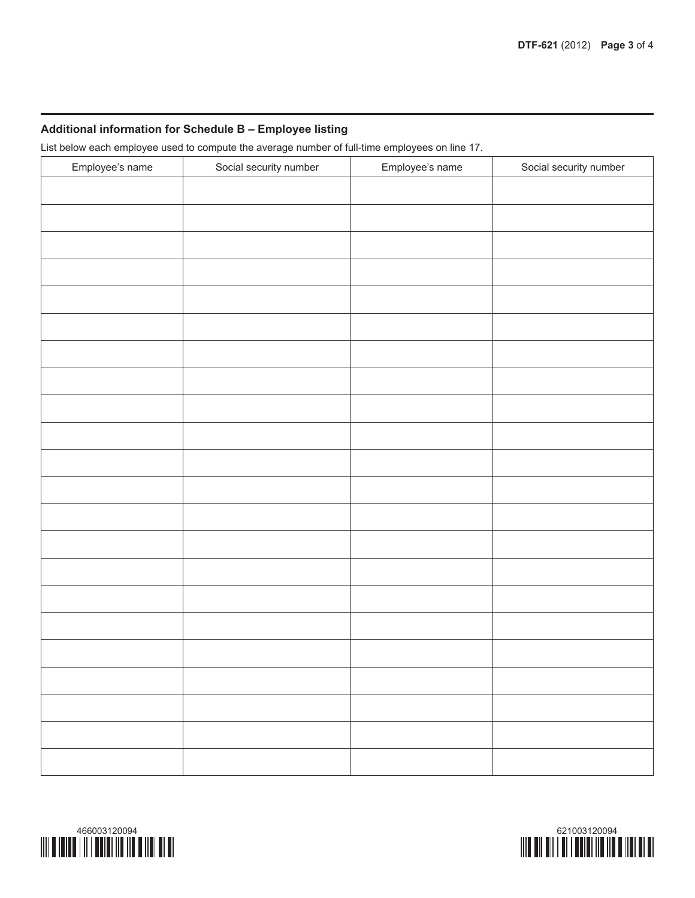## **Additional information for Schedule B – Employee listing**

List below each employee used to compute the average number of full-time employees on line 17.

| Employee's name | Social security number | Employee's name | Social security number |
|-----------------|------------------------|-----------------|------------------------|
|                 |                        |                 |                        |
|                 |                        |                 |                        |
|                 |                        |                 |                        |
|                 |                        |                 |                        |
|                 |                        |                 |                        |
|                 |                        |                 |                        |
|                 |                        |                 |                        |
|                 |                        |                 |                        |
|                 |                        |                 |                        |
|                 |                        |                 |                        |
|                 |                        |                 |                        |
|                 |                        |                 |                        |
|                 |                        |                 |                        |
|                 |                        |                 |                        |
|                 |                        |                 |                        |
|                 |                        |                 |                        |
|                 |                        |                 |                        |
|                 |                        |                 |                        |
|                 |                        |                 |                        |
|                 |                        |                 |                        |
|                 |                        |                 |                        |
|                 |                        |                 |                        |
|                 |                        |                 |                        |
|                 |                        |                 |                        |
|                 |                        |                 |                        |
|                 |                        |                 |                        |
|                 |                        |                 |                        |
|                 |                        |                 |                        |
|                 |                        |                 |                        |
|                 |                        |                 |                        |